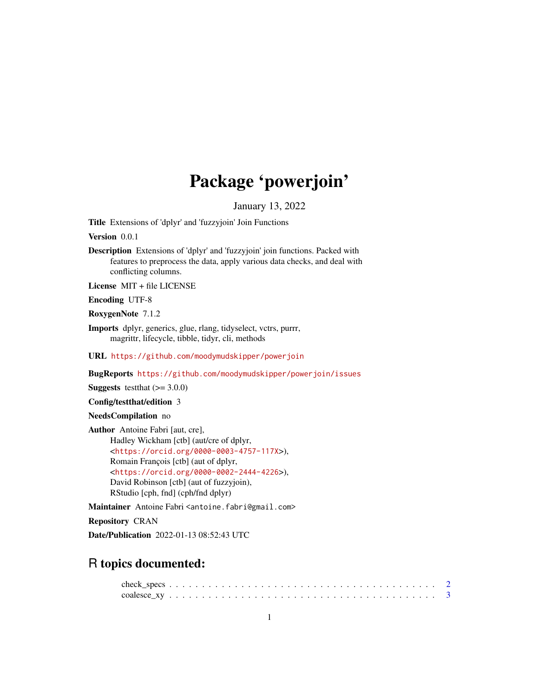## Package 'powerjoin'

January 13, 2022

<span id="page-0-0"></span>Title Extensions of 'dplyr' and 'fuzzyjoin' Join Functions

Version 0.0.1

Description Extensions of 'dplyr' and 'fuzzyjoin' join functions. Packed with features to preprocess the data, apply various data checks, and deal with conflicting columns.

License MIT + file LICENSE

Encoding UTF-8

RoxygenNote 7.1.2

Imports dplyr, generics, glue, rlang, tidyselect, vctrs, purrr, magrittr, lifecycle, tibble, tidyr, cli, methods

URL <https://github.com/moodymudskipper/powerjoin>

BugReports <https://github.com/moodymudskipper/powerjoin/issues>

**Suggests** testthat  $(>= 3.0.0)$ 

Config/testthat/edition 3

NeedsCompilation no

Author Antoine Fabri [aut, cre], Hadley Wickham [ctb] (aut/cre of dplyr, <<https://orcid.org/0000-0003-4757-117X>>), Romain François [ctb] (aut of dplyr, <<https://orcid.org/0000-0002-2444-4226>>), David Robinson [ctb] (aut of fuzzyjoin), RStudio [cph, fnd] (cph/fnd dplyr)

Maintainer Antoine Fabri <antoine.fabri@gmail.com>

Repository CRAN

Date/Publication 2022-01-13 08:52:43 UTC

### R topics documented: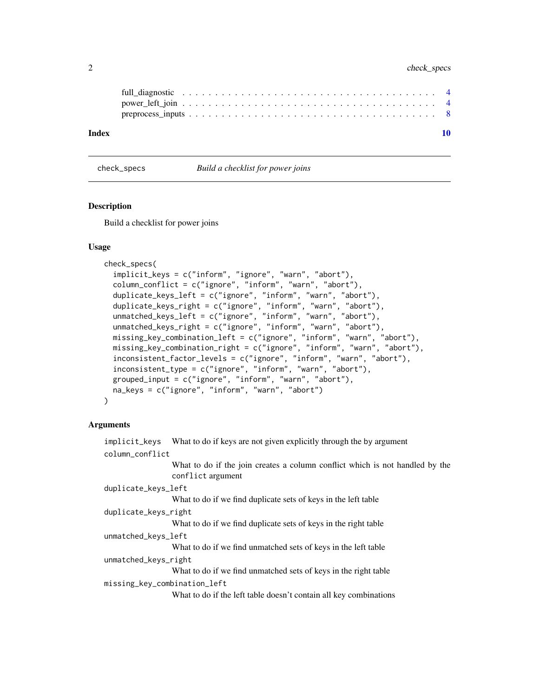#### <span id="page-1-0"></span>2 check\_specs check\_specs check\_specs check\_specs check\_specs check\_specs check\_specs check\_specs check\_specs check\_specs check\_specs check\_specs check\_specs check\_specs check\_specs check\_specs check\_specs check\_specs chec

| Index |  |  |  |  |  |  |  |  |  |  |  |  |  |  |  |  |  |
|-------|--|--|--|--|--|--|--|--|--|--|--|--|--|--|--|--|--|
|       |  |  |  |  |  |  |  |  |  |  |  |  |  |  |  |  |  |
|       |  |  |  |  |  |  |  |  |  |  |  |  |  |  |  |  |  |
|       |  |  |  |  |  |  |  |  |  |  |  |  |  |  |  |  |  |

check\_specs *Build a checklist for power joins*

#### Description

Build a checklist for power joins

#### Usage

```
check_specs(
  implicit_keys = c("inform", "ignore", "warn", "abort"),
  column_conflict = c("ignore", "inform", "warn", "abort"),
  duplicate_keys_left = c("ignore", "inform", "warn", "abort"),
  duplicate_keys_right = c("ignore", "inform", "warn", "abort"),
  unmatched_keys_left = c("ignore", "inform", "warn", "abort"),
  unmatched_keys_right = c("ignore", "inform", "warn", "abort"),
 missing_key_combination_left = c("ignore", "inform", "warn", "abort"),
 missing_key_combination_right = c("ignore", "inform", "warn", "abort"),
  inconsistent_factor_levels = c("ignore", "inform", "warn", "abort"),
  inconsistent_type = c("ignore", "inform", "warn", "abort"),
  grouped_input = c("ignore", "inform", "warn", "abort"),
 na_keys = c("ignore", "inform", "warn", "abort")
)
```
#### Arguments

implicit\_keys What to do if keys are not given explicitly through the by argument column\_conflict What to do if the join creates a column conflict which is not handled by the conflict argument duplicate\_keys\_left What to do if we find duplicate sets of keys in the left table duplicate\_keys\_right What to do if we find duplicate sets of keys in the right table unmatched\_keys\_left What to do if we find unmatched sets of keys in the left table unmatched\_keys\_right What to do if we find unmatched sets of keys in the right table missing\_key\_combination\_left What to do if the left table doesn't contain all key combinations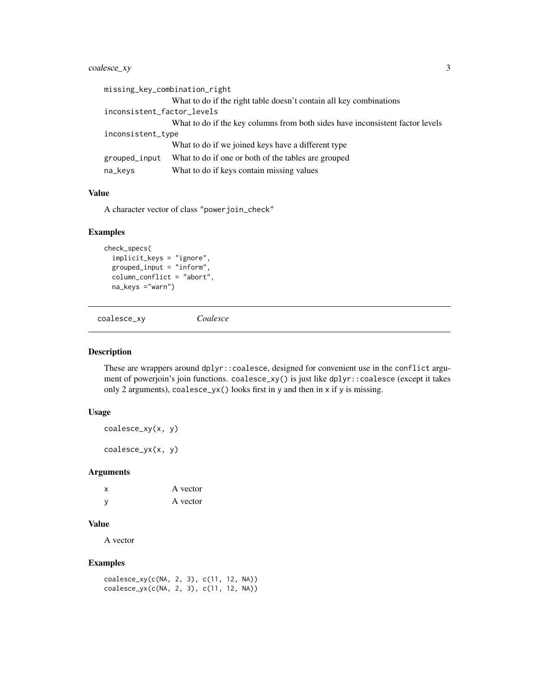#### <span id="page-2-0"></span>coalesce\_xy 3

|                            | missing_key_combination_right                                                 |
|----------------------------|-------------------------------------------------------------------------------|
|                            | What to do if the right table doesn't contain all key combinations            |
| inconsistent_factor_levels |                                                                               |
|                            | What to do if the key columns from both sides have inconsistent factor levels |
| inconsistent_type          |                                                                               |
|                            | What to do if we joined keys have a different type                            |
| grouped_input              | What to do if one or both of the tables are grouped                           |
| na_keys                    | What to do if keys contain missing values                                     |
|                            |                                                                               |

#### Value

A character vector of class "powerjoin\_check"

#### Examples

```
check_specs(
  implicit_keys = "ignore",
  grouped_input = "inform",
  column_conflict = "abort",
  na_keys ="warn")
```
coalesce\_xy *Coalesce*

#### Description

These are wrappers around dplyr::coalesce, designed for convenient use in the conflict argument of powerjoin's join functions. coalesce\_xy() is just like dplyr::coalesce (except it takes only 2 arguments), coalesce\_yx() looks first in y and then in x if y is missing.

#### Usage

coalesce\_xy(x, y)

coalesce\_yx(x, y)

#### Arguments

| $\boldsymbol{\mathsf{x}}$ | A vector |
|---------------------------|----------|
| - V                       | A vector |

#### Value

A vector

#### Examples

```
coalesce_xy(c(NA, 2, 3), c(11, 12, NA))
coalesce_yx(c(NA, 2, 3), c(11, 12, NA))
```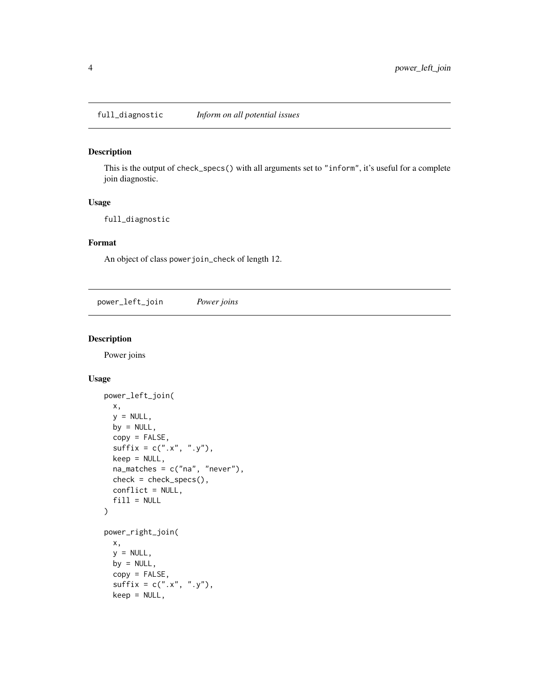<span id="page-3-0"></span>full\_diagnostic *Inform on all potential issues*

#### Description

This is the output of check\_specs() with all arguments set to "inform", it's useful for a complete join diagnostic.

#### Usage

full\_diagnostic

#### Format

An object of class powerjoin\_check of length 12.

power\_left\_join *Power joins*

#### Description

Power joins

#### Usage

```
power_left_join(
 x,
 y = NULL,by = NULL,
 copy = FALSE,sufficient = c("x", "y"),keep = NULL,
 na_matches = c("na", "never"),
 check = check_specs(),
 conflict = NULL,
  fill = NULL)
power_right_join(
 x,
 y = NULL,by = NULL,
 copy = FALSE,sufficient = c("x", "y"),
 keep = NULL,
```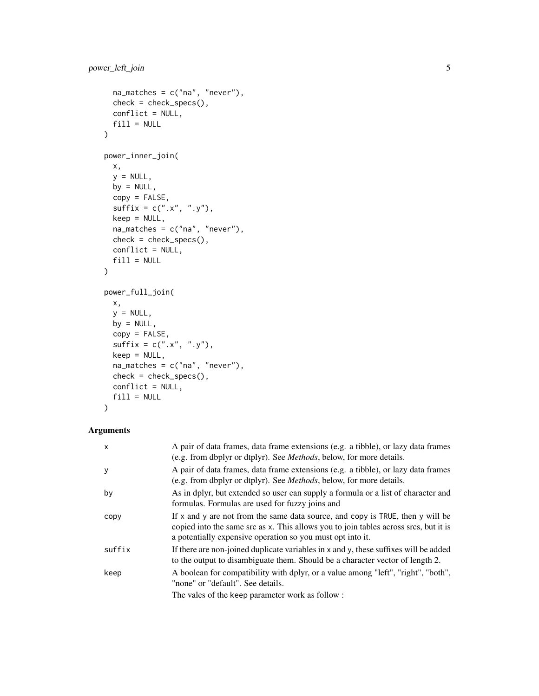```
na\_matches = c("na", "never"),check = check_specs(),
 conflict = NULL,
 fill = NULL)
power_inner_join(
 x,
 y = NULL,by = NULL,
 copy = FALSE,sufficient = c("x", "y"),keep = NULL,
 na_matches = c("na", "never"),
 check = check_specs(),
 conflict = NULL,
 fill = NULL)
power_full_join(
 x,
 y = NULL,by = NULL,
 copy = FALSE,
 sufficient = c("x", "y"),keep = NULL,na_matches = c("na", "never"),
 check = check_specs(),
 conflict = NULL,
 fill = NULL)
```
#### Arguments

| $\mathsf{x}$ | A pair of data frames, data frame extensions (e.g. a tibble), or lazy data frames<br>(e.g. from dbplyr or dtplyr). See <i>Methods</i> , below, for more details.                                                                     |
|--------------|--------------------------------------------------------------------------------------------------------------------------------------------------------------------------------------------------------------------------------------|
| y            | A pair of data frames, data frame extensions (e.g. a tibble), or lazy data frames<br>(e.g. from dbplyr or dtplyr). See <i>Methods</i> , below, for more details.                                                                     |
| by           | As in dplyr, but extended so user can supply a formula or a list of character and<br>formulas. Formulas are used for fuzzy joins and                                                                                                 |
| copy         | If x and y are not from the same data source, and copy is TRUE, then y will be<br>copied into the same src as x. This allows you to join tables across srcs, but it is<br>a potentially expensive operation so you must opt into it. |
| suffix       | If there are non-joined duplicate variables in x and y, these suffixes will be added<br>to the output to disambiguate them. Should be a character vector of length 2.                                                                |
| keep         | A boolean for compatibility with dplyr, or a value among "left", "right", "both",<br>"none" or "default". See details.                                                                                                               |
|              | The vales of the keep parameter work as follow:                                                                                                                                                                                      |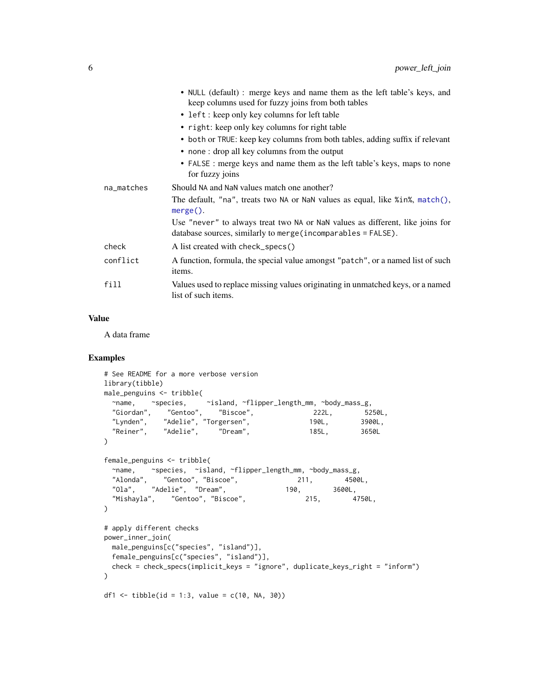<span id="page-5-0"></span>

|            | • NULL (default) : merge keys and name them as the left table's keys, and<br>keep columns used for fuzzy joins from both tables                |
|------------|------------------------------------------------------------------------------------------------------------------------------------------------|
|            | • left : keep only key columns for left table                                                                                                  |
|            | • right: keep only key columns for right table                                                                                                 |
|            | • both or TRUE: keep key columns from both tables, adding suffix if relevant                                                                   |
|            | • none: drop all key columns from the output                                                                                                   |
|            | • FALSE : merge keys and name them as the left table's keys, maps to none<br>for fuzzy joins                                                   |
| na_matches | Should NA and NaN values match one another?                                                                                                    |
|            | The default, "na", treats two NA or NaN values as equal, like $\sin\theta$ , match(),<br>$merge()$ .                                           |
|            | Use "never" to always treat two NA or NaN values as different, like joins for<br>database sources, similarly to merge (incomparables = FALSE). |
| check      | A list created with check_specs()                                                                                                              |
| conflict   | A function, formula, the special value amongst "patch", or a named list of such<br>items.                                                      |
| fill       | Values used to replace missing values originating in unmatched keys, or a named<br>list of such items.                                         |
|            |                                                                                                                                                |

#### Value

A data frame

#### Examples

```
# See README for a more verbose version
library(tibble)
male_penguins <- tribble(
  ~name, ~species, ~island, ~flipper_length_mm, ~body_mass_g,
  "Giordan", "Gentoo", "Biscoe", 222L, 5250L,
  "Lynden", "Adelie", "Torgersen", 190L, 3900L,
  "Reiner", "Adelie", "Dream", 185L, 3650L
\lambdafemale_penguins <- tribble(
 ~name, ~species, ~island, ~flipper_length_mm, ~body_mass_g,
  "Alonda", "Gentoo", "Biscoe", 211, 4500L,
  "Ola", "Adelie", "Dream", 190, 3600L,
 "Mishayla", "Gentoo", "Biscoe", 215, 4750L,
\lambda# apply different checks
power_inner_join(
 male_penguins[c("species", "island")],
 female_penguins[c("species", "island")],
 check = check_specs(implicit_keys = "ignore", duplicate_keys_right = "inform")
)
df1 <- tibble(id = 1:3, value = c(10, NA, 30))
```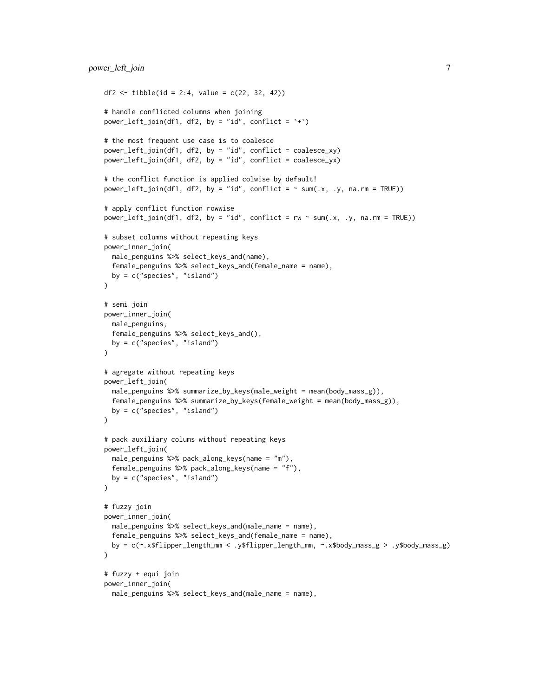```
df2 <- tibble(id = 2:4, value = c(22, 32, 42))
# handle conflicted columns when joining
power_{left\_join(df1, df2, by = "id", conflict = '+'')# the most frequent use case is to coalesce
power_left_join(df1, df2, by = "id", conflict = coalesce_xy)
power_left_join(df1, df2, by = "id", conflict = coalesce_yx)
# the conflict function is applied colwise by default!
power_left_join(df1, df2, by = "id", conflict = \sim sum(.x, .y, na.rm = TRUE))
# apply conflict function rowwise
power_left_join(df1, df2, by = "id", conflict = rw \sim sum(.x, .y, na.rm = TRUE))
# subset columns without repeating keys
power_inner_join(
 male_penguins %>% select_keys_and(name),
 female_penguins %>% select_keys_and(female_name = name),
 by = c("species", "island")
\mathcal{L}# semi join
power_inner_join(
 male_penguins,
 female_penguins %>% select_keys_and(),
 by = c("species", "island")
)
# agregate without repeating keys
power_left_join(
 male_penguins %>% summarize_by_keys(male_weight = mean(body_mass_g)),
 female_penguins %>% summarize_by_keys(female_weight = mean(body_mass_g)),
 by = c("species", "island")
\lambda# pack auxiliary colums without repeating keys
power_left_join(
 male_penguins %>% pack_along_keys(name = "m"),
 female_penguins %>% pack_along_keys(name = "f"),
 by = c("species", "island")
)
# fuzzy join
power_inner_join(
 male_penguins %>% select_keys_and(male_name = name),
 female_penguins %>% select_keys_and(female_name = name),
 by = c(~.x$flipper_length_mm < .y$flipper_length_mm, ~.x$body_mass_g > .y$body_mass_g)
\mathcal{L}# fuzzy + equi join
power_inner_join(
 male_penguins %>% select_keys_and(male_name = name),
```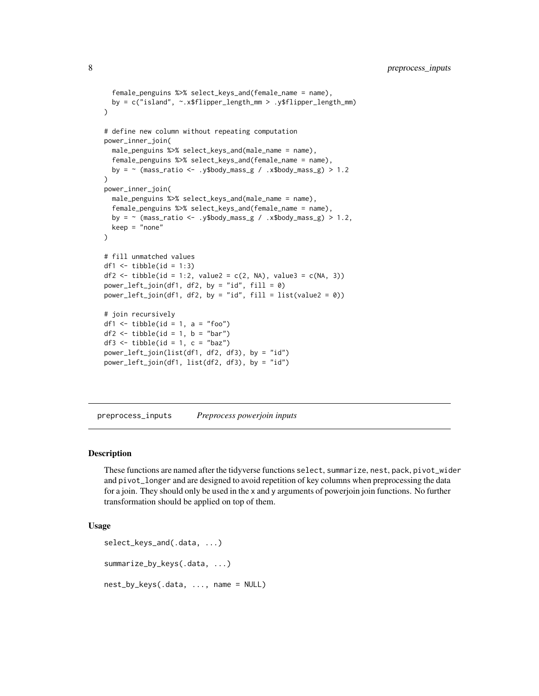```
female_penguins %>% select_keys_and(female_name = name),
 by = c("island", ~.x$flipper_length_mm > .y$flipper_length_mm)
)
# define new column without repeating computation
power_inner_join(
 male_penguins %>% select_keys_and(male_name = name),
 female_penguins %>% select_keys_and(female_name = name),
 by = \sim (mass_ratio <- .y$body_mass_g / .x$body_mass_g) > 1.2
\lambdapower_inner_join(
 male_penguins %>% select_keys_and(male_name = name),
 female_penguins %>% select_keys_and(female_name = name),
 by = \sim (mass_ratio <- .y$body_mass_g / .x$body_mass_g) > 1.2,
 keep = "none"
)
# fill unmatched values
df1 \leftarrow tibble(id = 1:3)
df2 <- tibble(id = 1:2, value2 = c(2, NA), value3 = c(NA, 3))
power\_left\_join(df1, df2, by = "id", fill = 0)power_{left\_join(df1, df2, by = "id", fill = list(value2 = 0))# join recursively
df1 \leftarrow tibble(id = 1, a = "foo")
df2 \leq tibble(id = 1, b = "bar")df3 \leq tibble(id = 1, c = "baz")power_left_join(list(df1, df2, df3), by = "id")
power_left_join(df1, list(df2, df3), by = "id")
```
preprocess\_inputs *Preprocess powerjoin inputs*

#### **Description**

These functions are named after the tidyverse functions select, summarize, nest, pack, pivot\_wider and pivot\_longer and are designed to avoid repetition of key columns when preprocessing the data for a join. They should only be used in the x and y arguments of powerjoin join functions. No further transformation should be applied on top of them.

#### Usage

```
select_keys_and(.data, ...)
summarize_by_keys(.data, ...)
nest_by_keys(.data, ..., name = NULL)
```
<span id="page-7-0"></span>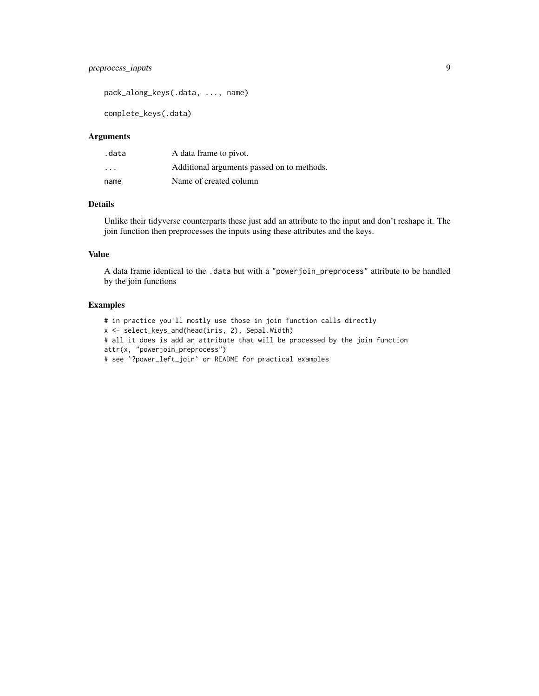#### preprocess\_inputs 9

pack\_along\_keys(.data, ..., name)

complete\_keys(.data)

#### Arguments

| .data | A data frame to pivot.                     |
|-------|--------------------------------------------|
| .     | Additional arguments passed on to methods. |
| name  | Name of created column                     |

#### Details

Unlike their tidyverse counterparts these just add an attribute to the input and don't reshape it. The join function then preprocesses the inputs using these attributes and the keys.

#### Value

A data frame identical to the .data but with a "powerjoin\_preprocess" attribute to be handled by the join functions

#### Examples

# in practice you'll mostly use those in join function calls directly x <- select\_keys\_and(head(iris, 2), Sepal.Width) # all it does is add an attribute that will be processed by the join function attr(x, "powerjoin\_preprocess") # see `?power\_left\_join` or README for practical examples